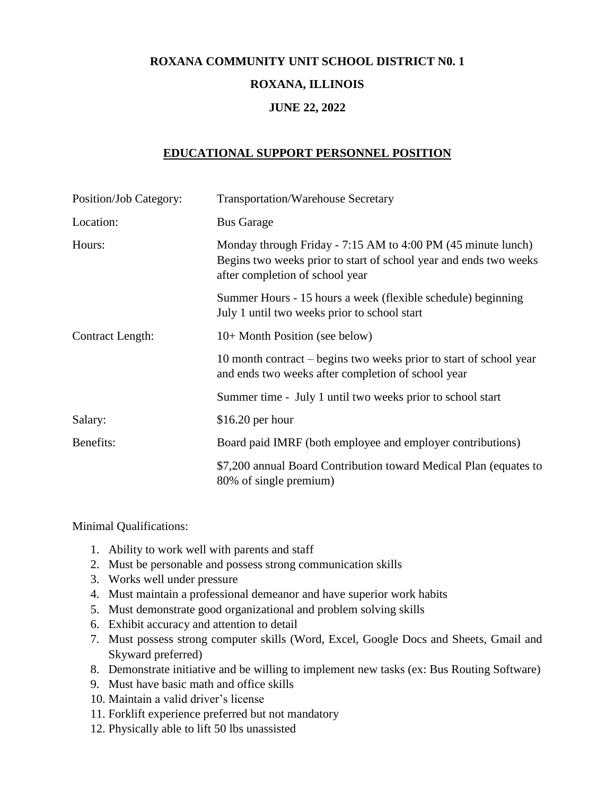## **ROXANA COMMUNITY UNIT SCHOOL DISTRICT N0. 1**

## **ROXANA, ILLINOIS**

## **JUNE 22, 2022**

## **EDUCATIONAL SUPPORT PERSONNEL POSITION**

| Position/Job Category:  | <b>Transportation/Warehouse Secretary</b>                                                                                                                            |
|-------------------------|----------------------------------------------------------------------------------------------------------------------------------------------------------------------|
| Location:               | <b>Bus Garage</b>                                                                                                                                                    |
| Hours:                  | Monday through Friday - 7:15 AM to 4:00 PM (45 minute lunch)<br>Begins two weeks prior to start of school year and ends two weeks<br>after completion of school year |
|                         | Summer Hours - 15 hours a week (flexible schedule) beginning<br>July 1 until two weeks prior to school start                                                         |
| <b>Contract Length:</b> | 10+ Month Position (see below)                                                                                                                                       |
|                         | 10 month contract – begins two weeks prior to start of school year<br>and ends two weeks after completion of school year                                             |
|                         | Summer time - July 1 until two weeks prior to school start                                                                                                           |
| Salary:                 | $$16.20$ per hour                                                                                                                                                    |
| Benefits:               | Board paid IMRF (both employee and employer contributions)                                                                                                           |
|                         | \$7,200 annual Board Contribution toward Medical Plan (equates to<br>80% of single premium)                                                                          |

Minimal Qualifications:

- 1. Ability to work well with parents and staff
- 2. Must be personable and possess strong communication skills
- 3. Works well under pressure
- 4. Must maintain a professional demeanor and have superior work habits
- 5. Must demonstrate good organizational and problem solving skills
- 6. Exhibit accuracy and attention to detail
- 7. Must possess strong computer skills (Word, Excel, Google Docs and Sheets, Gmail and Skyward preferred)
- 8. Demonstrate initiative and be willing to implement new tasks (ex: Bus Routing Software)
- 9. Must have basic math and office skills
- 10. Maintain a valid driver's license
- 11. Forklift experience preferred but not mandatory
- 12. Physically able to lift 50 lbs unassisted